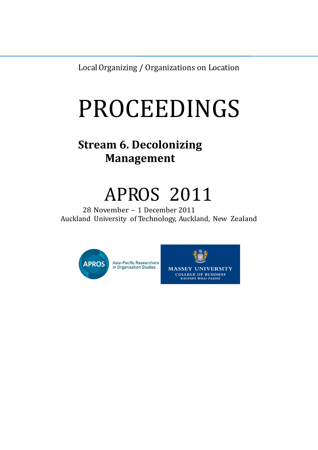LocalOrganizing / Organizations on Location

# PROCEEDINGS

### **Stream 6. Decolonizing Management**

## APROS 2011

28 November – 1 December 2011 Auckland University of Technology, Auckland, New Zealand



**Asia-Pacific Researchers** in Organisation Studies

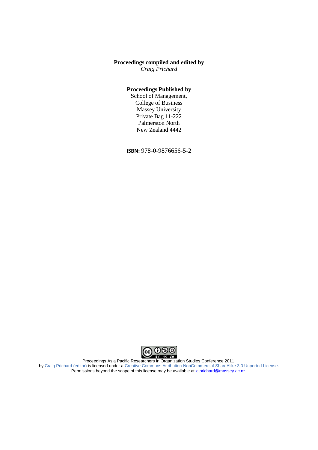#### **Proceedings compiled and edited by**

*Craig Prichard*

#### **Proceedings Published by**

School of Management, College of Business Massey University Private Bag 11-222 Palmerston North New Zealand 4442

**ISBN:** 978-0-9876656-5-2



Proceedings Asia Pacific Researchers in Organization Studies Conference 2011 by Craig [Prichard](http://www.apros.org/archives/4) (editor) is licensed under a Creative Commons [Attribution-NonCommercial-ShareAlike](http://creativecommons.org/licenses/by-nc-sa/3.0/) 3.0 Unported License. Permissions beyond the scope of this license may be available at [c.prichard@massey.ac.nz.](mailto:%20c.prichard@massey.ac.nz)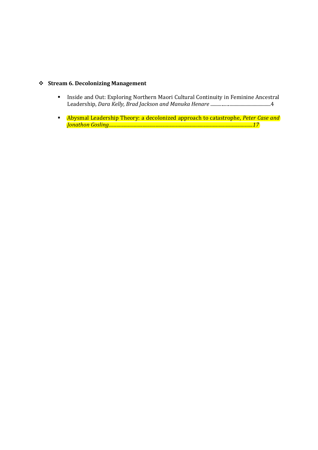#### **Stream 6. Decolonizing Management**

- **Inside and Out: Exploring Northern Maori Cultural Continuity in Feminine Ancestral** Leadership, *Dara Kelly, Brad Jackson and Manuka Henare* ..................................................4
- Abysmal Leadership Theory: a decolonized approach to catastrophe, *Peter Case and Jonathon Gosling...........................................................................................................................17*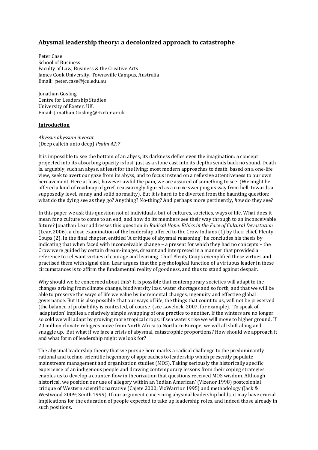#### **Abysmal leadership theory: a decolonized approach to catastrophe**

Peter Case School of Business Faculty of Law, Business & the Creative Arts James Cook University, Townsville Campus, Australia Email: [peter.case@jcu.edu.au](mailto:peter.case@jcu.edu.au)

Jonathan Gosling Centre for Leadership Studies University of Exeter, UK. Email[: Jonathan.Gosling@Exeter.ac.uk](mailto:Jonathan.Gosling@Exeter.ac.uk)

#### **Introduction**

*Abyssus abyssum invocat* (Deep calleth unto deep) *Psalm 42:7*

It is impossible to see the bottom of an abyss; its darkness defies even the imagination: a concept projected into its absorbing opacity is lost, just as a stone cast into its depths sends back no sound. Death is, arguably, such an abyss, at least for the living; most modern approaches to death, based on a one-life view, seek to avert our gaze from its abyss, and to focus instead on a reflexive attentiveness to our own bereavement. Here at least, however awful the pain, we are assured of something to see. (We might be offered a kind of roadmap of grief, reassuringly figured as a curve sweeping us way from hell, towards a supposedly level, sunny and solid normality). But it is hard to be diverted from the haunting question: what do the dying see as they go? Anything? No-thing? And perhaps more pertinently, *how* do they see?

In this paper we ask this question not of individuals, but of cultures, societies, ways of life. What does it mean for a culture to come to an end, and how do its members see their way through to an inconceivable future? Jonathan Lear addresses this question in *Radical Hope: Ethics in the Face of Cultural Devastation* (Lear, 2006), a close examination of the leadership offered to the Crow Indians (1) by their chief, Plenty Coups (2). In the final chapter, entitled 'A critique of abysmal reasoning', he concludes his thesis by indicating that when faced with inconceivable change – a present for which they had no concepts – the Crow were guided by certain dream-images, dreamt and interpreted in a manner that provided a reference to relevant virtues of courage and learning. Chief Plenty Coups exemplified these virtues and practised them with signal élan. Lear argues that the psychological function of a virtuous leader in these circumstances is to affirm the fundamental reality of goodness, and thus to stand against despair.

Why should we be concerned about this? It is possible that contemporary societies will adapt to the changes arising from climate change, biodiversity loss, water shortages and so forth, and that we will be able to preserve the ways of life we value by incremental changes, ingenuity and effective global governance. But it is also possible that our ways of life, the things that count to us, will not be preserved (the balance of probability is contested, of course (see Lovelock, 2007, for example). To speak of 'adaptation' implies a relatively simple swapping of one practice to another. If the winters are no longer so cold we will adapt by growing more tropical crops; if sea waters rise we will move to higher ground. If 20 million climate refugees move from North Africa to Northern Europe, we will all shift along and snuggle up. But what if we face a crisis of abysmal, catastrophic proportions? How should we approach it and what form of leadership might we look for?

The abysmal leadership theory that we pursue here marks a radical challenge to the predominantly rational and techno-scientific hegemony of approaches to leadership which presently populate mainstream management and organization studies (MOS). Taking seriously the historically specific experience of an indigenous people and drawing contemporary lessons from their coping strategies enables us to develop a counter-flow in theorization that questions received MOS wisdom. Although historical, we position our use of allegory within an 'indian American' (Vizenor 1998) postcolonial critique of Western scientific narrative (Cajete 2000; VizWarrior 1995) and methodology (Jack & Westwood 2009; Smith 1999). If our argument concerning abysmal leadership holds, it may have crucial implications for the education of people expected to take up leadership roles, and indeed those already in such positions.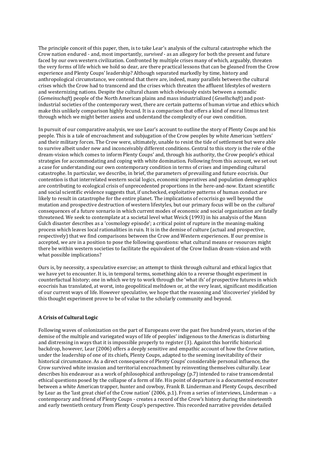The principle conceit of this paper, then, is to take Lear's analysis of the cultural catastrophe which the Crow nation endured - and, most importantly, *survived* - as an allegory for both the present and future faced by our own western civilization. Confronted by multiple crises many of which, arguably, threaten the very forms of life which we hold so dear, are there practical lessons that can be gleaned from the Crow experience and Plenty Coups' leadership? Although separated markedly by time, history and anthropological circumstance, we contend that there are, indeed, many parallels between the cultural crises which the Crow had to transcend and the crises which threaten the affluent lifestyles of western and westernizing nations. Despite the cultural chasm which obviously exists between a nomadic (*Gemeinschaft*) people of the North American plains and mass industrialized (*Gesellschaft*) and postindustrial societies of the contemporary west, there are certain patterns of human virtue and ethics which make this unlikely comparison highly fecund. It is a comparison that offers a kind of moral litmus test through which we might better assess and understand the complexity of our own condition.

In pursuit of our comparative analysis, we use Lear's account to outline the story of Plenty Coups and his people. This is a tale of encroachment and subjugation of the Crow peoples by white American 'settlers' and their military forces. The Crow were, ultimately, unable to resist the tide of settlement but were able to survive albeit under new and inconceivably different conditions. Central to this story is the role of the dream-vision which comes to inform Plenty Coups' and, through his authority, the Crow people's ethical strategies for accommodating and coping with white domination. Following from this account, we set out a case for understanding our own contemporary condition in terms of crises and impending cultural catastrophe. In particular, we describe, in brief, the parameters of prevailing and future ecocrisis. Our contention is that interrelated western social logics, economic imperatives and population demographics are contributing to ecological crisis of unprecedented proportions in the here-and-now. Extant scientific and social scientific evidence suggests that, if unchecked, exploitative patterns of human conduct are likely to result in catastrophe for the entire planet. The implications of ecocrisis go well beyond the mutation and prospective destruction of western lifestyles, but our primary focus will be on the *cultural* consequences of a future scenario in which current modes of economic and social organization are fatally threatened. We seek to contemplate at a societal level what Weick (1993) in his analysis of the Mann Gulch disaster describes as a 'cosmology episode'; a critical point of rupture in the meaning-making process which leaves local rationalities in ruin. It is in the demise of culture (actual and prospective, respectively) that we find comparisons between the Crow and Western experiences. If our premise is accepted, we are in a position to pose the following questions: what cultural means or resources might there be within western societies to facilitate the equivalent of the Crow Indian dream-vision and with what possible implications?

Ours is, by necessity, a speculative exercise; an attempt to think through cultural and ethical logics that we have yet to encounter. It is, in temporal terms, something akin to a reverse thought experiment in counterfactual history; one in which we try to work through the 'what ifs' of prospective futures in which ecocrisis has translated, at worst, into geopolitical meltdown or, at the very least, significant modification of our current ways of life. However speculative, we hope that the reasoning and 'discoveries' yielded by this thought experiment prove to be of value to the scholarly community and beyond.

#### **A Crisis of Cultural Logic**

Following waves of colonization on the part of Europeans over the past five hundred years, stories of the demise of the multiple and variegated ways of life of peoples' indigenous to the Americas is disturbing and distressing in ways that it is impossible properly to register (3). Against this horrific historical backdrop, however, Lear (2006) offers a deeply sensitive and empathic account of how the Crow nation, under the leadership of one of its chiefs, Plenty Coups, adapted to the seeming inevitability of their historical circumstance. As a direct consequence of Plenty Coups' considerable personal influence, the Crow survived white invasion and territorial encroachment by reinventing themselves culturally. Lear describes his endeavour as a work of philosophical anthropology (p.7) intended to raise transcendental ethical questions posed by the collapse of a form of life. His point of departure is a documented encounter between a white American trapper, hunter and cowboy, Frank B. Linderman and Plenty Coups, described by Lear as the 'last great chief of the Crow nation' (2006, p.1). From a series of interviews, Linderman – a contemporary and friend of Plenty Coups - creates a record of the Crow's history during the nineteenth and early twentieth century from Plenty Coup's perspective. This recorded narrative provides detailed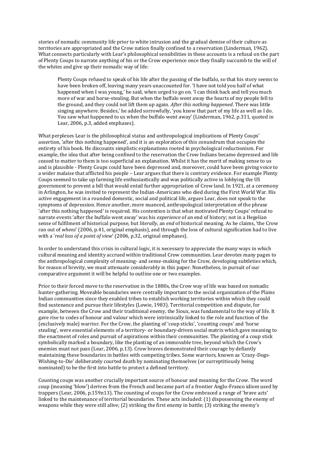stories of nomadic community life prior to white intrusion and the gradual demise of their culture as territories are appropriated and the Crow nation finally confined to a reservation (Linderman, 1962). What connects particularly with Lear's philosophical sensibilities in these accounts is a refusal on the part of Plenty Coups to narrate anything of his or the Crow experience once they finally succumb to the will of the whites and give up their nomadic way of life:

Plenty Coups refused to speak of his life after the passing of the buffalo, so that his story seems to have been broken off, leaving many years unaccounted for. 'I have not told you half of what happened when I was young,' he said, when urged to go on. 'I can think back and tell you much more of war and horse-stealing. But when the buffalo went away the hearts of my people fell to the ground, and they could not lift them up again. *After this nothing happened*. There was little singing anywhere. Besides,' he added sorrowfully, 'you know that part of my life as well as I do. You saw what happened to us when the buffalo went away' (Linderman, 1962, p.311, quoted in Lear, 2006, p.3, added emphases).

What perplexes Lear is the philosophical status and anthropological implications of Plenty Coups' assertion, 'after this nothing happened', and it is an exploration of this conundrum that occupies the entirety of his book. He discounts simplistic explanations rooted in psychological reductionism. For example, the idea that after being confined to the reservation the Crow Indians became depressed and life ceased to matter to them is too superficial an explanation. Whilst it has the merit of making sense to us and is plausible - Plenty Coups could have been depressed and, moreover, could have been giving voice to a wider malaise that afflicted his people – Lear argues that there is contrary evidence. For example Plenty Coups seemed to take up farming life enthusiastically and was politically active in lobbying the US government to prevent a bill that would entail further appropriation of Crow land. In 1921, at a ceremony in Arlington, he was invited to represent the Indian-Americans who died during the First World War. His active engagement in a rounded domestic, social and political life, argues Lear, does not speak to the symptoms of depression. Hence another, more nuanced, anthropological interpretation of the phrase 'after this nothing happened' is required. His contention is that what motivated Plenty Coups' refusal to narrate events 'after the buffalo went away' was his *experience* of an end of history; not in a Hegelian sense of fulfilment of historical purpose, but *literally*, an *end* of historical meaning. As he claims, 'the Crow ran out of *whens*' (2006, p.41, original emphasis), and through the loss of cultural signification had to live with a '*real loss of a point of view*' (2006, p.32, original emphases).

In order to understand this crisis in cultural logic, it is necessary to appreciate the many ways in which cultural meaning and identity accrued within traditional Crow communities. Lear devotes many pages to the anthropological complexity of meaning- and sense-making for the Crow, developing subtleties which, for reason of brevity, we must attenuate considerably in this paper. Nonetheless, in pursuit of our comparative argument it will be helpful to outline one or two examples.

Prior to their forced move to the reservation in the 1880s, the Crow way of life was based on nomadic hunter-gathering. Moveable boundaries were centrally important to the social organization of the Plains Indian communities since they enabled tribes to establish working territories within which they could find sustenance and pursue their lifestyles (Lowie, 1983). Territorial competition and dispute, for example, between the Crow and their traditional enemy, the Sioux, was fundamental to the way of life. It gave rise to codes of honour and valour which were intrinsically linked to the role and function of the (exclusively male) warrior. For the Crow, the planting of 'coup sticks', 'counting coups' and 'horse stealing', were essential elements of a territory- or boundary-driven social matrix which gave meaning to the enactment of roles and pursuit of aspirations within their communities. The planting of a coup stick symbolically marked a boundary, like the planting of an immovable tree, beyond which the Crow's enemies must not pass (Lear, 2006, p.13). Crow braves demonstrated their courage by defiantly maintaining these boundaries in battles with competing tribes. Some warriors, known as 'Crazy-Dogs-Wishing-to-Die' deliberately courted death by nominating themselves (or surreptitiously being nominated) to be the first into battle to protect a defined territory.

Counting coups was another crucially important source of honour and meaning for the Crow. The word coup (meaning 'blow') derives from the French and became part of a frontier Anglo-Franco idiom used by trappers (Lear, 2006, p.159n13). The counting of coups for the Crow embraced a range of 'brave acts' linked to the maintenance of territorial boundaries. These acts included: (1) dispossessing the enemy of weapons while they were still alive; (2) striking the first enemy in battle; (3) striking the enemy's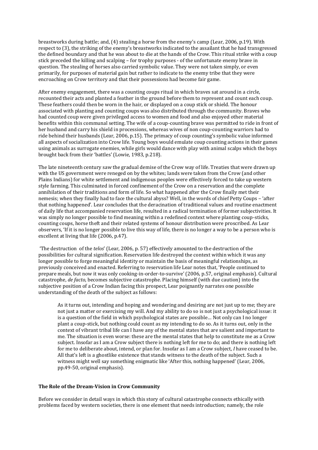breastworks during battle; and, (4) stealing a horse from the enemy's camp (Lear, 2006, p.19). With respect to (3), the striking of the enemy's breastworks indicated to the assailant that he had transgressed the defined boundary and that he was about to die at the hands of the Crow. This ritual strike with a coup stick preceded the killing and scalping – for trophy purposes - of the unfortunate enemy brave in question. The stealing of horses also carried symbolic value. They were not taken simply, or even primarily, for purposes of material gain but rather to indicate to the enemy tribe that they were encroaching on Crow territory and that their possessions had become fair game.

After enemy engagement, there was a counting coups ritual in which braves sat around in a circle, recounted their acts and planted a feather in the ground before them to represent and count each coup. These feathers could then be worn in the hair, or displayed on a coup stick or shield. The honour associated with planting and counting coups was also distributed through the community. Braves who had counted coup were given privileged access to women and food and also enjoyed other material benefits within this communal setting. The wife of a coup-counting brave was permitted to ride in front of her husband and carry his shield in processions, whereas wives of non coup-counting warriors had to ride behind their husbands (Lear, 2006, p.15). The primacy of coup counting's symbolic value informed all aspects of socialization into Crow life. Young boys would emulate coup counting actions in their games using animals as surrogate enemies, while girls would dance with play with animal scalps which the boys brought back from their 'battles' (Lowie, 1983, p.218).

The late nineteenth century saw the gradual demise of the Crow way of life. Treaties that were drawn up with the US government were reneged on by the whites; lands were taken from the Crow (and other Plains Indians) for white settlement and indigenous peoples were effectively forced to take up western style farming. This culminated in forced confinement of the Crow on a reservation and the complete annihilation of their traditions and form of life. So what happened after the Crow finally met their nemesis; when they finally had to face the cultural abyss? Well, in the words of chief Petty Coups – 'after that nothing happened'. Lear concludes that the deracination of traditional values and routine enactment of daily life that accompanied reservation life, resulted in a radical termination of former subjectivities. It was simply no longer possible to find meaning within a redefined context where planting coup-sticks, counting coups, horse theft and their related systems of honour distribution were proscribed. As Lear observers, 'If it is no longer possible to live this way of life, there is no longer a way to be a person who is excellent at living that life (2006, p.47).

'The destruction of the *telos*' (Lear, 2006, p. 57) effectively amounted to the destruction of the possibilities for cultural signification. Reservation life destroyed the context within which it was any longer possible to forge meaningful identity or maintain the basis of meaningful relationships, as previously conceived and enacted. Referring to reservation life Lear notes that, 'People continued to prepare meals, but now it was only cooking-in-order-to-survive' (2006, p.57, original emphasis). Cultural catastrophe, *de facto*, becomes subjective catastrophe. Placing himself (with due caution) into the subjective position of a Crow Indian facing this prospect, Lear poignantly narrates one possible understanding of the death of the subject as follows:

As it turns out, intending and hoping and wondering and desiring are not just up to me; they are not just a matter or exercising my will. And my ability to do so is not just a psychological issue: it is a question of the field in which psychological states are possible… Not only can I no longer plant a coup-stick, but nothing could count as my intending to do so. As it turns out, only in the context of vibrant tribal life can I have any of the mental states that are salient and important to me. The situation is even worse: these are the mental states that help to constitute me as a Crow subject. Insofar as I am a Crow subject there is nothing left for me to do; and there is nothing left for me to deliberate about, intend, or plan for. Insofar as I am a Crow subject, *I* have ceased to be. All that's left is a ghostlike existence that stands witness to the death of the subject. Such a witness might well say something enigmatic like 'After this, nothing happened' (Lear, 2006, pp.49-50, original emphasis).

#### **The Role of the Dream-Vision in Crow Community**

Before we consider in detail ways in which this story of cultural catastrophe connects ethically with problems faced by western societies, there is one element that needs introduction; namely, the role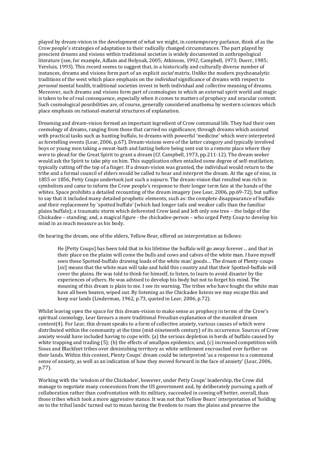played by dream-vision in the development of what we might, in contemporary parlance, think of as the Crow people's strategies of adaptation to their radically changed circumstances. The part played by prescient dreams and visions within traditional societies is widely documented in anthropological literature (see, for example, Adlam and Holyoak, 2005; Atkinson, 1992; Campbell, 1973; Duerr, 1985; Versluis, 1993). This record seems to suggest that, in a historically and culturally diverse number of instances, dreams and visions form part of an explicit *social* matrix. Unlike the modern psychoanalytic traditions of the west which place emphasis on the *individual* significance of dreams with respect to *personal* mental health, traditional societies invest in both individual and *collective* meaning of dreams. Moreover, such dreams and visions form part of cosmologies in which an external spirit world and magic is taken to be of real consequence, especially when it comes to matters of prophecy and oracular content. Such cosmological possibilities are, of course, generally considered anathema by western sciences which place emphasis on rational-material structures of explanation.

Dreaming and dream-vision formed an important ingredient of Crow communal life. They had their own cosmology of dreams, ranging from those that carried no significance, through dreams which assisted with practical tasks such as hunting buffalo, to dreams with powerful 'medicine' which were interpreted as foretelling events (Lear, 2006, p.67). Dream-visions were of the latter category and typically involved boys or young men taking a sweat-bath and fasting before being sent out to a remote place where they were to plead for the Great Spirit to grant a dream (Cf. Campbell, 1973, pp.211-12). The dream seeker would ask the Spirit to take pity on him. This supplication often entailed some degree of self-mutilation; typically cutting off the top of a finger. If a dream-vision was granted, the individual would return to the tribe and a formal council of elders would be called to hear and interpret the dream. At the age of nine, in 1855 or 1856, Petty Coups undertook just such a sojourn. The dream-vision that resulted was rich in symbolism and came to inform the Crow people's response to their longer term fate at the hands of the whites. Space prohibits a detailed recounting of the dream imagery (see Lear, 2006, pp.69-72), but suffice to say that it included many detailed prophetic elements, such as: the complete disappearance of buffalo and their replacement by 'spotted buffalo' (which had longer tails and weaker calls than the familiar plains buffalo); a traumatic storm which deforested Crow land and left only one tree – the lodge of the Chickadee – standing; and, a magical figure - the chickadee-person – who urged Petty Coup to develop his mind in as much measure as his body.

On hearing the dream, one of the elders, Yellow Bear, offered an interpretation as follows:

He [Petty Coups] has been told that in his lifetime the buffalo will go away forever… and that in their place on the plains will come the bulls and cows and calves of the white man. I have myself seen these Spotted-buffalo drawing loads of the white man' goods… The dream of Plenty-coups [*sic*] means that the white man will take and hold this country and that their Spotted-buffalo will cover the plains. He was told to think for himself, to listen, to learn to avoid disaster by the experiences of others. He was advised to develop his body but not to forget his mind. The meaning of this dream is plain to me. I see its warning. The tribes who have fought the white man have all been beaten, wiped out. By listening as the Chickadee listens we may escape this and keep our lands (Linderman, 1962, p.73, quoted in Lear, 2006, p.72).

Whilst leaving open the space for this dream-vision to make sense as prophecy in terms of the Crow's spiritual cosmology, Lear favours a more traditional Freudian explanation of the manifest dream content(4). For Lear, this dream speaks to a form of collective anxiety, various causes of which were distributed within the community at the time (mid-nineteenth century) of its occurrence. Sources of Crow anxiety would have included having to cope with: (a) the serious depletion in herds of buffalo caused by white trapping and trading (5); (b) the effects of smallpox epidemics; and, (c) increased competition with Sioux and Blackfeet tribes over diminishing territory as white settlement encroached ever further on their lands. Within this context, Plenty Coups' dream could be interpreted 'as a response to a communal sense of anxiety, as well as an indication of how they moved forward in the face of anxiety' (Lear, 2006, p.77).

Working with the 'wisdom of the Chickadee', however, under Petty Coups' leadership, the Crow did manage to negotiate many concessions from the US government and, by deliberately pursuing a path of collaboration rather than confrontation with its military, succeeded in coming off better, overall, than those tribes which took a more aggressive stance. It was not that Yellow Bears' interpretation of 'holding on to the tribal lands' turned out to mean having the freedom to roam the plains and preserve the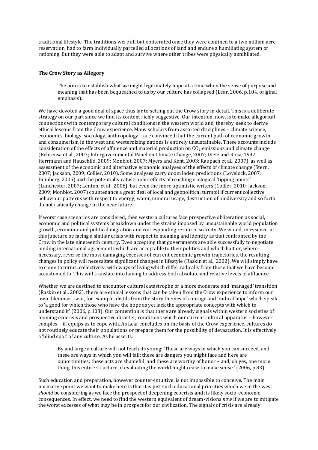traditional lifestyle. The traditions were all but obliterated once they were confined to a two million acre reservation, had to farm individually parcelled allocations of land and endure a humiliating system of rationing. But they were able to adapt and survive where other tribes were physically annihilated.

#### **The Crow Story as Allegory**

The aim is to establish what *we* might legitimately hope at a time when the sense of purpose and meaning that has been bequeathed to us by our culture has collapsed (Lear, 2006, p.104, original emphasis).

We have devoted a good deal of space thus far to setting out the Crow story in detail. This is a deliberate strategy on our part since we find its content richly suggestive. Our intention, now, is to make allegorical connections with contemporary cultural conditions in the western world and, thereby, seek to derive ethical lessons from the Crow experience. Many scholars from assorted disciplines – climate science, economics, biology, sociology, anthropology – are convinced that the current path of economic growth and consumerism in the west and westernizing nations is entirely unsustainable. These accounts include consideration of the effects of affluence and material production on  $CO<sub>2</sub>$  emissions and climate change (Behrensa et al., 2007; Intergovernmental Panel on Climate Change, 2007; Dietz and Rosa, 1997; Herrmann and Hauschild, 2009; Monbiot, 2007; Myers and Kent, 2003; Raupach et al., 2007), as well as assessment of the economic and alternative economic analyses of the effects of climate change (Stern, 2007; Jackson, 2009; Collier, 2010). Some analyses carry doom laden predictions (Lovelock, 2007; Heinberg, 2005) and the potentially catastrophic effects of reaching ecological 'tipping points' (Lanchester, 2007; Lenton, et al., 2008), but even the more optimistic writers (Collier, 2010; Jackson, 2009; Monbiot, 2007) countenance a great deal of local and geopolitical turmoil if current collective behaviour patterns with respect to energy, water, mineral usage, destruction of biodiversity and so forth do not radically change in the near future.

If worst case scenarios are considered, then western cultures face prospective obliteration as social, economic and political systems breakdown under the strains imposed by unsustainable world population growth, economic and political migration and corresponding resource scarcity. We would, in essence, at this juncture be facing a similar crisis with respect to meaning and identity as that confronted by the Crow in the late nineteenth century. Even accepting that governments are able successfully to negotiate binding international agreements which are acceptable to their polities and which halt or, where necessary, reverse the most damaging excesses of current economic growth trajectories, the resulting changes in policy will necessitate significant changes in lifestyle (Raskin et al., 2002). We will simply have to come to terms, collectively, with ways of living which differ radically from those that we have become accustomed to. This will translate into having to address both absolute and relative levels of affluence.

Whether we are destined to encounter cultural catastrophe or a more moderate and 'managed' transition (Raskin et al., 2002), there are ethical lessons that can be taken from the Crow experience to inform our own dilemmas. Lear, for example, distils from the story themes of courage and 'radical hope' which speak to 'a good for which those who have the hope as yet lack the appropriate concepts with which to understand it' (2006, p.103). Our contention is that there are already signals within western societies of looming ecocrisis and prospective disaster; conditions which our current cultural apparatus – however complex – ill equips us to cope with. As Lear concludes on the basis of the Crow experience, cultures do not routinely educate their populations or prepare them for the possibility of devastation. It is effectively a 'blind spot' of any culture. As he asserts:

By and large a culture will not teach its young: 'These are ways in which you can succeed, and these are ways in which you will fail; these are dangers you might face and here are opportunities; these acts are shameful, and these are worthy of honor – and, oh yes, one more thing, this entire structure of evaluating the world might cease to make sense.' (2006, p.83).

Such education and preparation, however counter-intuitive, is not impossible to conceive. The main normative point we want to make here is that it is just such educational priorities which we in the west *should* be considering as we face the prospect of deepening ecocrisis and its likely socio-economic consequences. In effect, we need to find the western equivalent of dream-visions *now* if we are to mitigate the worst excesses of what may be in prospect for our civilization. The signals of crisis are already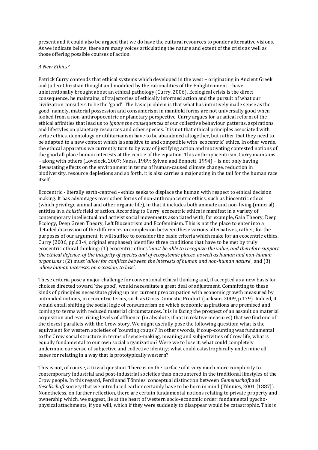present and it could also be argued that we do have the cultural resources to ponder alternative visions. As we indicate below, there are many voices articulating the nature and extent of the crisis as well as those offering possible courses of action.

#### *A New Ethics?*

Patrick Curry contends that ethical systems which developed in the west – originating in Ancient Greek and Judeo-Christian thought and modified by the rationalities of the Enlightenment – have unintentionally brought about an ethical pathology (Curry, 2006). Ecological crisis is the direct consequence, he maintains, of trajectories of ethically informed action and the pursuit of what our civilization considers to be the 'good'. The basic problem is that what has intuitively made sense as the good, namely, material possession and consumerism in manifold forms are not universally good when looked from a non-anthropocentric or planetary perspective. Curry argues for a radical reform of the ethical affinities that lead us to *ignore the consequences* of our collective behaviour patterns, aspirations and lifestyles on planetary resources and other species. It is not that ethical principles associated with virtue ethics, deontology or utilitarianism have to be abandoned altogether, but rather that they need to be adapted to a new context which is sensitive to and compatible with 'ecocentric' ethics. In other words, the ethical apparatus we currently turn to by way of justifying action and motivating contested notions of the good all place human interests at the centre of the equation. This anthropocentrism, Curry maintains – along with others (Lovelock, 2007; Naess, 1989; Sylvan and Bennett, 1994) – is not only having devastating effects on the environment in terms of human-caused climate change, reduction in biodiversity, resource depletions and so forth, it is also carries a major sting in the tail for the human race itself.

Ecocentric - literally earth-centred - ethics seeks to displace the human with respect to ethical decision making. It has advantages over other forms of non-anthropocentric ethics, such as biocentric ethics (which privilege animal and other organic life), in that it includes both animate and non-living (mineral) entities in a *holistic* field of action. According to Curry, ecocentric ethics is manifest in a variety of contemporary intellectual and activist social movements associated with, for example, Gaia Theory, Deep Ecology, Deep Green Theory, Left Biocentrism and Ecofeminism. This is not the place to enter into a detailed discussion of the differences in complexion between these various alternatives, rather, for the purposes of our argument, it will suffice to consider the basic criteria which make for an ecocentric ethics. Curry (2006, pp.63-4, original emphases) identifies three conditions that have to be met by truly ecocentric ethical thinking: (1) ecocentric ethics '*must be able to recognize the value, and therefore support the ethical defence, of the integrity of species and of ecosystemic places, as well as human and non-human organisms*'; (2) must '*allow for conflicts between the interests of human and non-human nature*', and (3) '*allow human interests, on occasion, to lose*'.

These criteria pose a major challenge for conventional ethical thinking and, if accepted as a new basis for choices directed toward 'the good', would necessitate a great deal of adjustment. Committing to these kinds of principles necessitate giving up our current preoccupation with economic growth measured by outmoded notions, in ecocentric terms, such as Gross Domestic Product (Jackson, 2009, p.179). Indeed, it would entail shifting the social logic of consumerism on which economic aspirations are premised and coming to terms with reduced material circumstances. It is in facing the prospect of an assault on material acquisition and ever rising levels of affluence (in absolute, if not in relative measures) that we find one of the closest parallels with the Crow story. We might usefully pose the following question: what is the equivalent for western societies of 'counting coups'? In others words, if coup-counting was fundamental to the Crow social structure in terms of sense-making, meaning and subjectivities of Crow life, what is equally fundamental to our own social organization? Were we to lose it, what could completely undermine our sense of subjective and collective identity; what could catastrophically undermine all bases for relating in a way that is prototypically western?

This is not, of course, a trivial question. There is on the surface of it very much more complexity to contemporary industrial and post-industrial societies than encountered in the traditional lifestyles of the Crow people. In this regard, Ferdinand Tőnnies' conceptual distinction between *Gemeinschaft* and *Gesellschaft* society that we introduced earlier certainly have to be born in mind (Tőnnies, 2001 [1887]). Nonetheless, on further reflection, there are certain fundamental notions relating to private property and ownership which, we suggest, lie at the heart of western socio-economic order; fundamental pyschophysical attachments, if you will, which if they were suddenly to disappear would be catastrophic. This is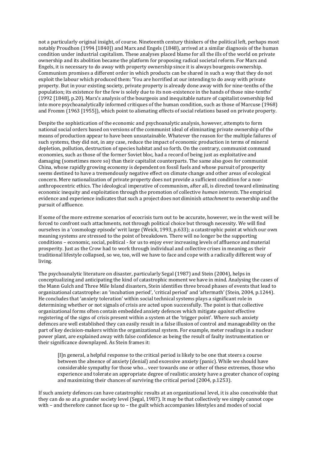not a particularly original insight, of course. Nineteenth century thinkers of the political left, perhaps most notably Proudhon (1994 [1840]) and Marx and Engels (1848), arrived at a similar diagnosis of the human condition under industrial capitalism. These analyses placed blame for all the ills of the world on private ownership and its abolition became the platform for proposing radical societal reform. For Marx and Engels, it is necessary to do away with property ownership since it is always bourgeois ownership. Communism promises a different order in which products can be shared in such a way that they do not exploit the labour which produced them: 'You are horrified at our intending to do away with private property. But in your existing society, private property is already done away with for nine-tenths of the population; its existence for the few is solely due to its non-existence in the hands of those nine-tenths' (1992 [1848], p.20). Marx's analysis of the bourgeois and inequitable nature of capitalist ownership fed into more psychoanalytically informed critiques of the human condition, such as those of Marcuse (1968) and Fromm (1963 [1955]), which point to alienating effects of social relations based on private property.

Despite the sophistication of the economic and psychoanalytic analysis, however, attempts to form national social orders based on versions of the communist ideal of eliminating private ownership of the means of production appear to have been unsustainable. Whatever the reason for the multiple failures of such systems, they did not, in any case, reduce the impact of economic production in terms of mineral depletion, pollution, destruction of species habitat and so forth. On the contrary, communist command economies, such as those of the former Soviet bloc, had a record of being just as exploitative and damaging (sometimes more so) than their capitalist counterparts. The same also goes for communist China, whose rapidly growing economy is dependent on fossil fuels and whose pursuit of prosperity seems destined to have a tremendously negative effect on climate change and other areas of ecological concern. Mere nationalization of private property does not provide a sufficient condition for a nonanthropocentric ethics. The ideological imperative of communism, after all, is directed toward eliminating economic inequity and exploitation through the promotion of collective *human interests*. The empirical evidence and experience indicates that such a project does not diminish *attachment* to ownership and the pursuit of affluence.

If some of the more extreme scenarios of ecocrisis turn out to be accurate, however, we in the west will be forced to confront such attachments, not through political choice but through necessity. We will find ourselves in a 'cosmology episode' writ large (Weick, 1993, p.633); a catastrophic point at which our own meaning systems are stressed to the point of breakdown. There will no longer be the supporting conditions – economic, social, political - for us to enjoy ever increasing levels of affluence and material prosperity. Just as the Crow had to work through individual and collective crises in meaning as their traditional lifestyle collapsed, so we, too, will we have to face and cope with a radically different way of living.

The psychoanalytic literature on disaster, particularly Segal (1987) and Stein (2004), helps in conceptualizing and anticipating the kind of catastrophic moment we have in mind. Analysing the cases of the Mann Gulch and Three Mile Island disasters, Stein identifies three broad phases of events that lead to organizational catastrophe: an 'incubation period', 'critical period' and 'aftermath' (Stein, 2004, p.1244). He concludes that 'anxiety toleration' within social technical systems plays a significant role in determining whether or not signals of crisis are acted upon successfully. The point is that collective organizational forms often contain embedded anxiety defences which mitigate *against* effective registering of the signs of crisis present within a system at the 'trigger point'. Where such anxiety defences are well established they can easily result in a false illusion of control and manageability on the part of key decision-makers within the organizational system. For example, meter readings in a nuclear power plant, are explained away with false confidence as being the result of faulty instrumentation or their significance downplayed. As Stein frames it:

[I]n general, a helpful response to the critical period is likely to be one that steers a course between the absence of anxiety (denial) and excessive anxiety (panic). While we should have considerable sympathy for those who… veer towards one or other of these extremes, those who experience and tolerate an appropriate degree of realistic anxiety have a greater chance of coping and maximizing their chances of surviving the critical period (2004, p.1253).

If such anxiety defences can have catastrophic results at an organizational level, it is also conceivable that they can do so at a grander society level (Segal, 1987). It may be that collectively we simply cannot cope with – and therefore cannot face up to – the guilt which accompanies lifestyles and modes of social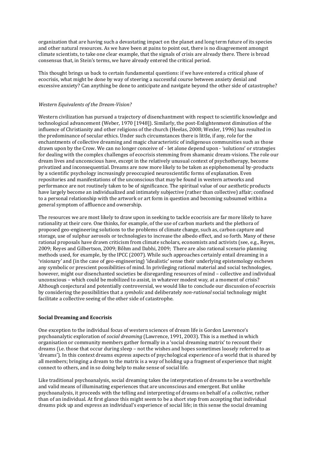organization that are having such a devastating impact on the planet and long term future of its species and other natural resources. As we have been at pains to point out, there is no disagreement amongst climate scientists, to take one clear example, that the signals of crisis are already there. There is broad consensus that, in Stein's terms, we have already entered the critical period.

This thought brings us back to certain fundamental questions: if we have entered a critical phase of ecocrisis, what might be done by way of steering a successful course between anxiety denial and excessive anxiety? Can anything be done to anticipate and navigate beyond the other side of catastrophe?

#### *Western Equivalents of the Dream-Vision?*

Western civilization has pursued a trajectory of disenchantment with respect to scientific knowledge and technological advancement (Weber, 1970 [1948]). Similarly, the post-Enlightenment diminution of the influence of Christianity and other religions of the church (Heelas, 2008; Wexler, 1996) has resulted in the predominance of secular ethics. Under such circumstances there is little, if any, role for the enchantments of collective dreaming and magic characteristic of indigenous communities such as those drawn upon by the Crow. We can no longer conceive of - let alone depend upon - 'solutions' or strategies for dealing with the complex challenges of ecocrisis stemming from shamanic dream-visions. The role our dream lives and unconscious have, except in the relatively unusual context of psychotherapy, become privatized and inconsequential. Dreams are now more likely to be taken as epiphenomenal by-products by a scientific psychology increasingly preoccupied neuroscientific forms of explanation. Even repositories and manifestations of the unconscious that may be found in western artworks and performance are not routinely taken to be of significance. The spiritual value of our aesthetic products have largely become an individualized and intimately subjective (rather than collective) affair; confined to a personal relationship with the artwork or art form in question and becoming subsumed within a general symptom of affluence and ownership.

The resources we are most likely to draw upon in seeking to tackle ecocrisis are far more likely to have rationality at their core. One thinks, for example, of the use of carbon markets and the plethora of proposed geo-engineering solutions to the problems of climate change, such as, carbon capture and storage, use of sulphur aerosols or technologies to increase the albedo effect, and so forth. Many of these rational proposals have drawn criticism from climate scholars, economists and activists (see, e.g., Reyes, 2009; Reyes and Gilbertson, 2009; Bőhm and Dabhi, 2009; There are also rational scenario planning methods used, for example, by the IPCC (2007). While such approaches certainly entail dreaming in a 'visionary' and (in the case of geo-engineering) 'idealistic' sense their underlying epistemology eschews any symbolic or prescient possibilities of mind. In privileging rational material and social technologies, however, might our disenchanted societies be disregarding resources of mind – collective and individual unconscious – which could be mobilized to assist, in whatever modest way, at a moment of crisis? Although conjectural and potentially controversial, we would like to conclude our discussion of ecocrisis by considering the possibilities that a *symbolic* and deliberately *non-rational* social technology might facilitate a collective seeing of the other side of catastrophe.

#### **Social Dreaming and Ecocrisis**

One exception to the individual focus of western sciences of dream life is Gordon Lawrence's psychoanalytic exploration of *social dreaming* (Lawrence, 1991, 2003). This is a method in which organisation or community members gather formally in a 'social dreaming matrix' to recount their dreams (i.e. those that occur during sleep – not the wishes and hopes sometimes loosely referred to as 'dreams'). In this context dreams express aspects of psychological experience of a world that is shared by all members; bringing a dream to the matrix is a way of holding up a fragment of experience that might connect to others, and in so doing help to make sense of social life.

Like traditional psychoanalysis, social dreaming takes the interpretation of dreams to be a worthwhile and valid means of illuminating experiences that are unconscious and emergent. But unlike psychoanalysis, it proceeds with the telling and interpreting of dreams on behalf of a *collective*, rather than of an individual. At first glance this might seem to be a short step from accepting that individual dreams pick up and express an individual's experience of social life; in this sense the social dreaming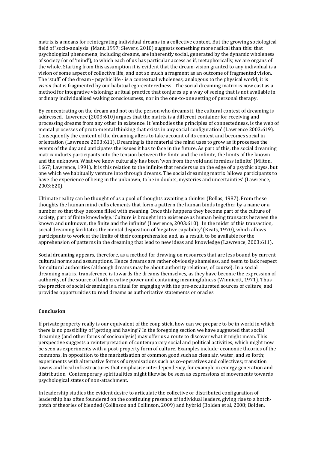matrix is a means for reintegrating individual dreams in a collective context. But the growing sociological field of 'socio-analysis' (Mant, 1997; Sievers, 2010) suggests something more radical than this: that psychological phenomena, including dreams, are inherently social, generated by the dynamic wholeness of society (or of 'mind'), to which each of us has particular access as if, metaphorically, we are organs of the whole. Starting from this assumption it is evident that the dream-vision granted to any individual is a vision of some aspect of collective life, and not so much a fragment as an outcome of fragmented vision. The 'stuff' of the dream - psychic life - is a contextual wholeness, analogous to the physical world; it is *vision* that is fragmented by our habitual ego-centeredness. The social dreaming matrix is now cast as a method for integrative visioning; a ritual practice that conjures up a way of seeing that is not available in ordinary individualised waking consciousness, nor in the one-to-one setting of personal therapy.

By concentrating on the dream and not on the person who dreams it, the cultural context of dreaming is addressed. Lawrence (2003:610) argues that the matrix is a different container for receiving and processing dreams from any other in existence. It 'embodies the principles of connectedness, is the web of mental processes of proto-mental thinking that exists in any social configuration' (Lawrence 2003:619). Consequently the content of the dreaming alters to take account of its context and becomes social in orientation (Lawrence 2003:611). Dreaming is the material the mind uses to grow as it processes the events of the day and anticipates the issues it has to face in the future. As part of this, the social dreaming matrix inducts participants into the tension between the finite and the infinite, the limits of the known and the unknown. What we know culturally has been 'won from the void and formless infinite' (Milton, 1667; Lawrence, 1991). It is this relation to the infinite that renders us on the edge of a psychic abyss, but one which we habitually venture into through dreams. The social dreaming matrix 'allows participants to have the experience of being in the unknown, to be in doubts, mysteries and uncertainties' (Lawrence, 2003:620).

Ultimate reality can be thought of as a pool of thoughts awaiting a thinker (Bollas, 1987). From these thoughts the human mind culls elements that form a pattern the human binds together by a name or a number so that they become filled with meaning. Once this happens they become part of the culture of society, part of finite knowledge. 'Culture is brought into existence as human being transacts between the known and unknown, the finite and the infinite' (Lawrence, 2003:610). In the midst of this transaction, social dreaming facilitates the mental disposition of 'negative capability' (Keats, 1970), which allows participants to work at the limits of their comprehension and, as a result, to be available for the apprehension of patterns in the dreaming that lead to new ideas and knowledge (Lawrence, 2003:611).

Social dreaming appears, therefore, as a method for drawing on resources that are less bound by current cultural norms and assumptions. Hence dreams are rather obviously shameless, and seem to lack respect for cultural authorities (although dreams may be about authority relations, of course). In a social dreaming matrix, transference is towards the dreams themselves, as they have become the expression of authority, of the source of both creative power and containing meaningfulness (Winnicott, 1971). Thus the practice of social dreaming is a ritual for engaging with the pre-acculturated sources of culture, and provides opportunities to read dreams as authoritative statements or oracles.

#### **Conclusion**

If private property really is our equivalent of the coup stick, how can we prepare to be in world in which there is no possibility of 'getting and having'? In the foregoing section we have suggested that social dreaming (and other forms of socioanlysis) may offer us a route to discover what it might mean. This perspective suggests a reinterpretation of contemporary social and political activities, which might now be seen as experiments with a post-property form of culture. Examples include: economic theories of the commons, in opposition to the marketisation of common good such as clean air, water, and so forth; experiments with alternative forms of organisations such as co-operatives and collectives; transition towns and local infrastructures that emphasise interdependency, for example in energy generation and distribution. Contemporary spiritualities might likewise be seen as expressions of movements towards psychological states of non-attachment.

In leadership studies the evident desire to articulate the collective or distributed configuration of leadership has often foundered on the continuing presence of individual leaders, giving rise to a hotchpotch of theories of blended (Collinson and Collinson, 2009) and hybrid (Bolden et al, 2008; Bolden,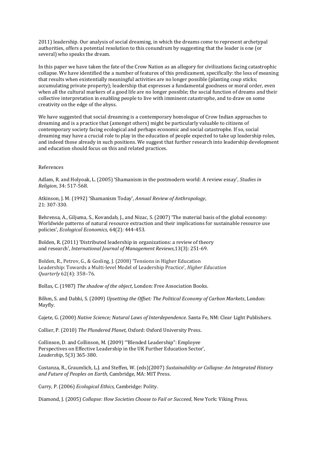2011) leadership. Our analysis of social dreaming, in which the dreams come to represent archetypal authorities, offers a potential resolution to this conundrum by suggesting that the leader is one (or several) who speaks the dream.

In this paper we have taken the fate of the Crow Nation as an allegory for civilizations facing catastrophic collapse. We have identified the a number of features of this predicament, specifically: the loss of meaning that results when existentially meaningful activities are no longer possible (planting coup sticks; accumulating private property); leadership that expresses a fundamental goodness or moral order, even when all the cultural markers of a good life are no longer possible; the social function of dreams and their collective interpretation in enabling people to live with imminent catastrophe, and to draw on some creativity on the edge of the abyss.

We have suggested that social dreaming is a contemporary homologue of Crow Indian approaches to dreaming and is a practice that (amongst others) might be particularly valuable to citizens of contemporary society facing ecological and perhaps economic and social catastrophe. If so, social dreaming may have a crucial role to play in the education of people expected to take up leadership roles, and indeed those already in such positions. We suggest that further research into leadership development and education should focus on this and related practices.

#### References

Adlam, R. and Holyoak, L. (2005) 'Shamanism in the postmodern world: A review essay', *Studies in Religion*, 34: 517-568.

Atkinson, J. M. (1992) 'Shamanism Today', *Annual Review of Anthropology*, 21: 307-330.

Behrensa, A., Giljuma, S., Kovandab, J., and Nizac, S. (2007) 'The material basis of the global economy: Worldwide patterns of natural resource extraction and their implications for sustainable resource use policies', *Ecological Economics*, 64(2): 444-453.

Bolden, R. (2011) 'Distributed leadership in organizations: a review of theory and research', *International Journal of Management Reviews*,13(3): 251-69.

Bolden, R., Petrov, G., & Gosling, J. (2008) 'Tensions in Higher Education Leadership: Towards a Multi-level Model of Leadership Practice', *Higher Education Quarterly* 62(4): 358–76.

Bollas, C. (1987) *The shadow of the object*, London: Free Association Books.

Bőhm, S. and Dabhi, S. (2009) *Upsetting the Offset: The Political Economy of Carbon Markets*, London: Mayfly.

Cajete, G. (2000) *Native Science; Natural Laws of Interdependence*. Santa Fe, NM: Clear Light Publishers.

Collier, P. (2010) *The Plundered Planet*, Oxford: Oxford University Press.

Collinson, D. and Collinson, M. (2009) '"Blended Leadership": Employee Perspectives on Effective Leadership in the UK Further Education Sector', *Leadership*, 5(3) 365-380.

Costanza, R., Graumlich, L.J. and Steffen, W. (eds)(2007) *Sustainability or Collapse: An Integrated History and Future of Peoples on Earth*, Cambridge, MA: MIT Press.

Curry, P. (2006) *Ecological Ethics*, Cambridge: Polity.

Diamond, J. (2005) *Collapse: How Societies Choose to Fail or Succeed*, New York: Viking Press.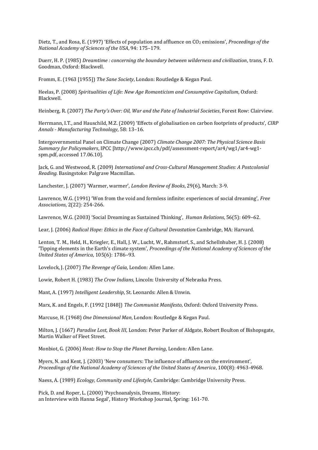Dietz, T., and Rosa, E. (1997) 'Effects of population and affluence on CO<sub>2</sub> emissions', *Proceedings of the National Academy of Sciences of the USA*, 94: 175–179.

Duerr, H. P. (1985) *Dreamtime : concerning the boundary between wilderness and civilization*, trans, F. D. Goodman, Oxford: Blackwell.

Fromm, E. (1963 [1955]) *The Sane Society*, London: Routledge & Kegan Paul.

Heelas, P. (2008) *Spiritualities of Life: New Age Romanticism and Consumptive Capitalism*, Oxford: Blackwell.

Heinberg, R. (2007) *The Party's Over: Oil, War and the Fate of Industrial Societies*, Forest Row: Clairview.

Herrmann, I.T., and Hauschild, M.Z. (2009) 'Effects of globalisation on carbon footprints of products', *CIRP Annals - Manufacturing Technology*, 58: 13–16.

Intergovernmental Panel on Climate Change (2007) *Climate Change 2007: The Physical Science Basis Summary for Policymakers*, IPCC [http://www.ipcc.ch/pdf/assessment-report/ar4/wg1/ar4-wg1 spm.pdf, accessed 17.06.10].

Jack, G. and Westwood, R. (2009) *International and Cross-Cultural Management Studies: A Postcolonial Reading.* Basingstoke: Palgrave Macmillan.

Lanchester, J. (2007) 'Warmer, warmer', *London Review of Books*, 29(6), March: 3-9.

Lawrence, W.G. (1991) 'Won from the void and formless infinite: experiences of social dreaming', *Free Associations*, 2(22): 254-266.

Lawrence, W.G. (2003) 'Social Dreaming as Sustained Thinking', *Human Relations*, 56(5): 609–62.

Lear, J. (2006) *Radical Hope: Ethics in the Face of Cultural Devastation* Cambridge, MA: Harvard.

Lenton, T. M., Held, H., Kriegler, E., Hall, J. W., Lucht, W., Rahmstorf, S., and Schellnhuber, H. J. (2008) 'Tipping elements in the Earth's climate system', *Proceedings of the National Academy of Sciences of the United States of America*, 105(6): 1786–93.

Lovelock, J. (2007) *The Revenge of Gaia*, London: Allen Lane.

Lowie, Robert H. (1983) *The Crow Indians*, Lincoln: University of Nebraska Press.

Mant, A. (1997) *Intelligent Leadership*, St. Leonards: Allen & Unwin.

Marx, K. and Engels, F. (1992 [1848]) *The Communist Manifesto*, Oxford: Oxford University Press.

Marcuse, H. (1968) *One Dimensional Man*, London: Routledge & Kegan Paul.

Milton, J. (1667) *Paradise Lost, Book III*, London: Peter Parker of Aldgate, Robert Boulton of Bishopsgate, Martin Walker of Fleet Street.

Monbiot, G. (2006) *Heat: How to Stop the Planet Burning*, London: Allen Lane.

Myers, N. and Kent, J. (2003) 'New consumers: The influence of affluence on the environment', *Proceedings of the National Academy of Sciences of the United States of America*, 100(8): 4963-4968.

Naess, A. (1989) *Ecology, Community and Lifestyle*, Cambridge: Cambridge University Press.

Pick, D. and Roper, L. (2000) 'Psychoanalysis, Dreams, History: an Interview with Hanna Segal', History Workshop Journal, Spring: 161-70.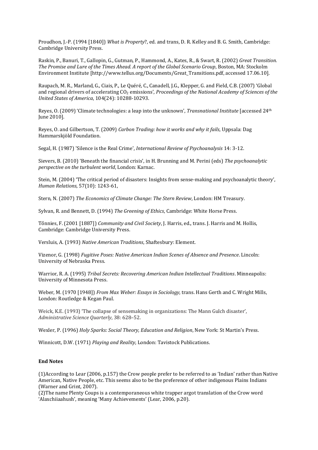Proudhon, J.-P. (1994 [1840]) *What is Property*?, ed. and trans, D. R. Kelley and B. G. Smith, Cambridge: Cambridge University Press.

Raskin, P., Banuri, T., Gallopin, G., Gutman, P., Hammond, A., Kates, R., & Swart, R. (2002) *Great Transition. The Promise and Lure of the Times Ahead. A report of the Global Scenario Group*, Boston, MA: Stockolm Environment Institute [http://www.tellus.org/Documents/Great\_Transitions.pdf, accessed 17.06.10].

Raupach, M. R., Marland,G., Ciais, P., Le Quéré, C., Canadell, J.G., Klepper, G. and Field, C.B. (2007) 'Global and regional drivers of accelerating CO<sup>2</sup> emissions', *Proceedings of the National Academy of Sciences of the United States of America*, 104(24): 10288-10293.

Reyes, O. (2009) 'Climate technologies: a leap into the unknown', *Transnational Institute* [accessed 24th June 2010].

Reyes, O. and Gilbertson, T. (2009) *Carbon Trading: how it works and why it fails*, Uppsala: Dag Hammarskjöld Foundation.

Segal, H. (1987) 'Silence is the Real Crime', *International Review of Psychoanalysis* 14: 3-12.

Sievers, B. (2010) 'Beneath the financial crisis', in H. Brunning and M. Perini (eds) *The psychoanalytic perspective on the turbulent world*, London: Karnac.

Stein, M. (2004) 'The critical period of disasters: Insights from sense-making and psychoanalytic theory', *Human Relations*, 57(10): 1243-61,

Stern, N. (2007) *The Economics of Climate Change: The Stern Review*, London: HM Treasury.

Sylvan, R. and Bennett, D. (1994) *The Greening of Ethics*, Cambridge: White Horse Press.

Tőnnies, F. (2001 [1887]) *Community and Civil Society*, J. Harris, ed., trans. J. Harris and M. Hollis, Cambridge: Cambridge University Press.

Versluis, A. (1993) *Native American Traditions*, Shaftesbury: Element.

Vizenor, G. (1998) *Fugitive Poses: Native American Indian Scenes of Absence and Presence*. Lincoln: University of Nebraska Press.

Warrior, R. A. (1995) *Tribal Secrets: Recovering American Indian Intellectual Traditions*. Minneapolis: University of Minnesota Press.

Weber, M. (1970 [1948]) *From Max Weber: Essays in Sociology*, trans. Hans Gerth and C. Wright Mills, London: Routledge & Kegan Paul.

Weick, K.E. (1993) 'The collapse of sensemaking in organizations: The Mann Gulch disaster', *Administrative Science Quarterly*, 38: 628–52.

Wexler, P. (1996) *Holy Sparks: Social Theory, Education and Religion*, New York: St Martin's Press.

Winnicott, D.W. (1971) *Playing and Reality*, London: Tavistock Publications.

#### **End Notes**

(1)According to Lear (2006, p.157) the Crow people prefer to be referred to as 'Indian' rather than Native American, Native People, etc. This seems also to be the preference of other indigenous Plains Indians (Warner and Grint, 2007).

(2)The name Plenty Coups is a contemporaneous white trapper argot translation of the Crow word 'Alaxchiiaahush', meaning 'Many Achievements' (Lear, 2006, p.20).